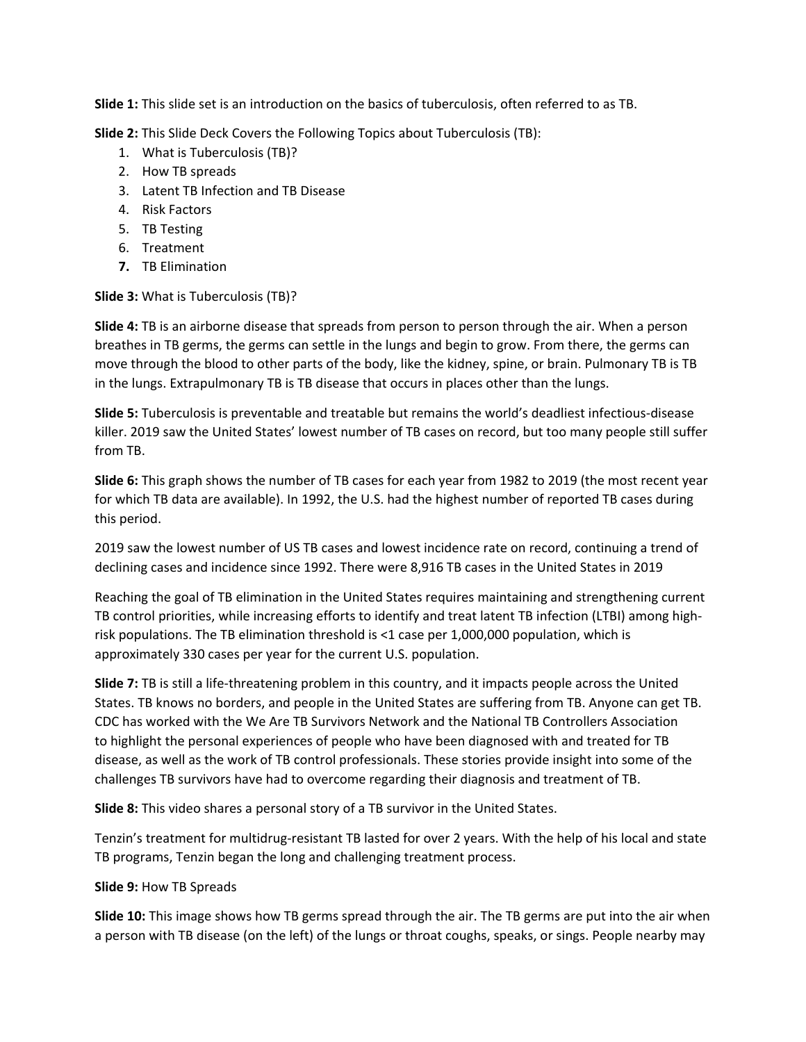**Slide 1:** This slide set is an introduction on the basics of tuberculosis, often referred to as TB.

**Slide 2:** This Slide Deck Covers the Following Topics about Tuberculosis (TB):

- 1. What is Tuberculosis (TB)?
- 2. How TB spreads
- 3. Latent TB Infection and TB Disease
- 4. Risk Factors
- 5. TB Testing
- 6. Treatment
- **7.** TB Elimination

# **Slide 3:** What is Tuberculosis (TB)?

**Slide 4:** TB is an airborne disease that spreads from person to person through the air. When a person breathes in TB germs, the germs can settle in the lungs and begin to grow. From there, the germs can move through the blood to other parts of the body, like the kidney, spine, or brain. Pulmonary TB is TB in the lungs. Extrapulmonary TB is TB disease that occurs in places other than the lungs.

**Slide 5:** Tuberculosis is preventable and treatable but remains the world's deadliest infectious-disease killer. 2019 saw the United States' lowest number of TB cases on record, but too many people still suffer from TB.

**Slide 6:** This graph shows the number of TB cases for each year from 1982 to 2019 (the most recent year for which TB data are available). In 1992, the U.S. had the highest number of reported TB cases during this period.

2019 saw the lowest number of US TB cases and lowest incidence rate on record, continuing a trend of declining cases and incidence since 1992. There were 8,916 TB cases in the United States in 2019

Reaching the goal of TB elimination in the United States requires maintaining and strengthening current TB control priorities, while increasing efforts to identify and treat latent TB infection (LTBI) among highrisk populations. The TB elimination threshold is <1 case per 1,000,000 population, which is approximately 330 cases per year for the current U.S. population.

**Slide 7:** TB is still a life-threatening problem in this country, and it impacts people across the United States. TB knows no borders, and people in the United States are suffering from TB. Anyone can get TB. CDC has worked with the We Are TB Survivors Network and the National TB Controllers Association to highlight the personal experiences of people who have been diagnosed with and treated for TB disease, as well as the work of TB control professionals. These stories provide insight into some of the challenges TB survivors have had to overcome regarding their diagnosis and treatment of TB.

**Slide 8:** This video shares a personal story of a TB survivor in the United States.

Tenzin's treatment for multidrug-resistant TB lasted for over 2 years. With the help of his local and state TB programs, Tenzin began the long and challenging treatment process.

# **Slide 9:** How TB Spreads

**Slide 10:** This image shows how TB germs spread through the air. The TB germs are put into the air when a person with TB disease (on the left) of the lungs or throat coughs, speaks, or sings. People nearby may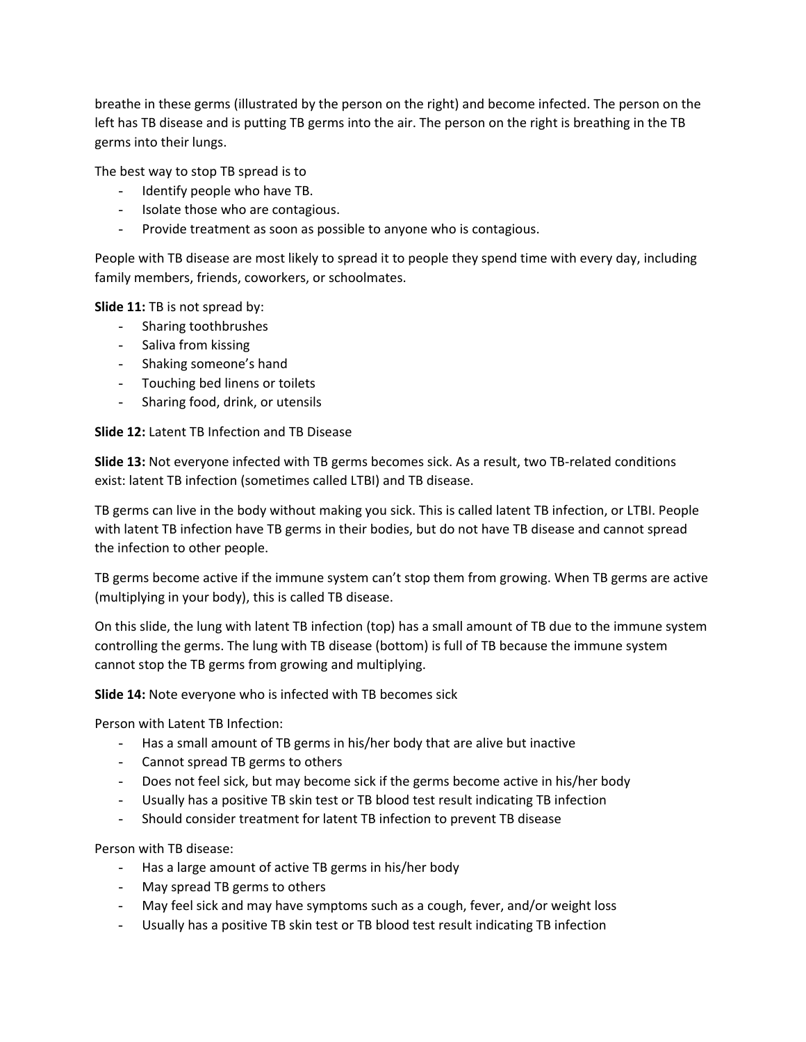breathe in these germs (illustrated by the person on the right) and become infected. The person on the left has TB disease and is putting TB germs into the air. The person on the right is breathing in the TB germs into their lungs.

The best way to stop TB spread is to

- Identify people who have TB.
- Isolate those who are contagious.
- Provide treatment as soon as possible to anyone who is contagious.

People with TB disease are most likely to spread it to people they spend time with every day, including family members, friends, coworkers, or schoolmates.

**Slide 11:** TB is not spread by:

- Sharing toothbrushes
- Saliva from kissing
- Shaking someone's hand
- Touching bed linens or toilets
- Sharing food, drink, or utensils

**Slide 12:** Latent TB Infection and TB Disease

**Slide 13:** Not everyone infected with TB germs becomes sick. As a result, two TB-related conditions exist: latent TB infection (sometimes called LTBI) and TB disease.

TB germs can live in the body without making you sick. This is called latent TB infection, or LTBI. People with latent TB infection have TB germs in their bodies, but do not have TB disease and cannot spread the infection to other people.

TB germs become active if the immune system can't stop them from growing. When TB germs are active (multiplying in your body), this is called TB disease.

On this slide, the lung with latent TB infection (top) has a small amount of TB due to the immune system controlling the germs. The lung with TB disease (bottom) is full of TB because the immune system cannot stop the TB germs from growing and multiplying.

**Slide 14:** Note everyone who is infected with TB becomes sick

Person with Latent TB Infection:

- Has a small amount of TB germs in his/her body that are alive but inactive
- Cannot spread TB germs to others
- Does not feel sick, but may become sick if the germs become active in his/her body
- Usually has a positive TB skin test or TB blood test result indicating TB infection
- Should consider treatment for latent TB infection to prevent TB disease

### Person with TB disease:

- Has a large amount of active TB germs in his/her body
- May spread TB germs to others
- May feel sick and may have symptoms such as a cough, fever, and/or weight loss
- Usually has a positive TB skin test or TB blood test result indicating TB infection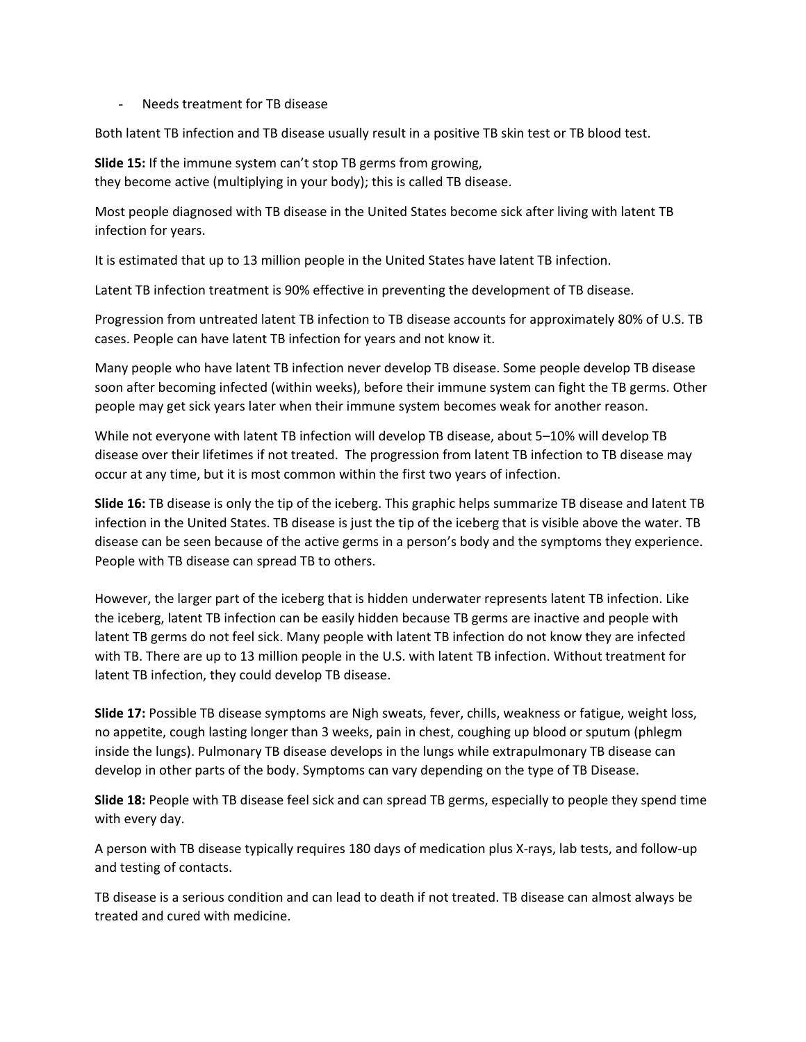#### Needs treatment for TB disease

Both latent TB infection and TB disease usually result in a positive TB skin test or TB blood test.

**Slide 15:** If the immune system can't stop TB germs from growing, they become active (multiplying in your body); this is called TB disease.

Most people diagnosed with TB disease in the United States become sick after living with latent TB infection for years.

It is estimated that up to 13 million people in the United States have latent TB infection.

Latent TB infection treatment is 90% effective in preventing the development of TB disease.

Progression from untreated latent TB infection to TB disease accounts for approximately 80% of U.S. TB cases. People can have latent TB infection for years and not know it.

Many people who have latent TB infection never develop TB disease. Some people develop TB disease soon after becoming infected (within weeks), before their immune system can fight the TB germs. Other people may get sick years later when their immune system becomes weak for another reason.

While not everyone with latent TB infection will develop TB disease, about 5–10% will develop TB disease over their lifetimes if not treated. The progression from latent TB infection to TB disease may occur at any time, but it is most common within the first two years of infection.

**Slide 16:** TB disease is only the tip of the iceberg. This graphic helps summarize TB disease and latent TB infection in the United States. TB disease is just the tip of the iceberg that is visible above the water. TB disease can be seen because of the active germs in a person's body and the symptoms they experience. People with TB disease can spread TB to others.

However, the larger part of the iceberg that is hidden underwater represents latent TB infection. Like the iceberg, latent TB infection can be easily hidden because TB germs are inactive and people with latent TB germs do not feel sick. Many people with latent TB infection do not know they are infected with TB. There are up to 13 million people in the U.S. with latent TB infection. Without treatment for latent TB infection, they could develop TB disease.

**Slide 17:** Possible TB disease symptoms are Nigh sweats, fever, chills, weakness or fatigue, weight loss, no appetite, cough lasting longer than 3 weeks, pain in chest, coughing up blood or sputum (phlegm inside the lungs). Pulmonary TB disease develops in the lungs while extrapulmonary TB disease can develop in other parts of the body. Symptoms can vary depending on the type of TB Disease.

**Slide 18:** People with TB disease feel sick and can spread TB germs, especially to people they spend time with every day.

A person with TB disease typically requires 180 days of medication plus X-rays, lab tests, and follow-up and testing of contacts.

TB disease is a serious condition and can lead to death if not treated. TB disease can almost always be treated and cured with medicine.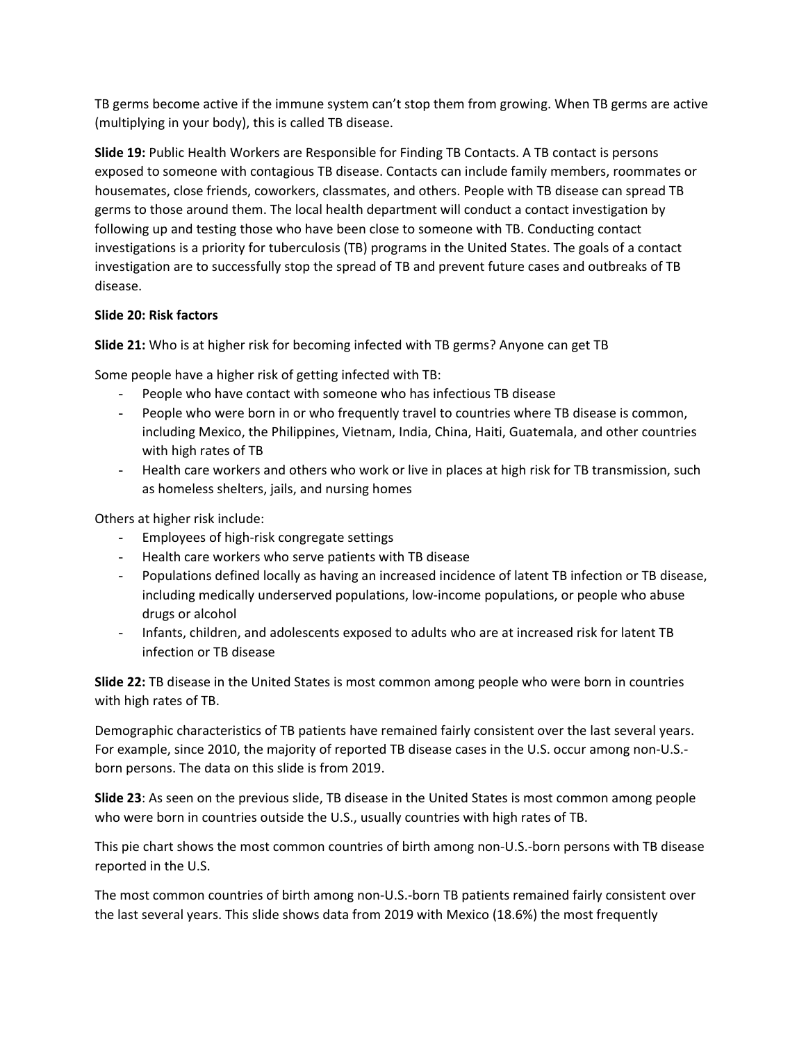TB germs become active if the immune system can't stop them from growing. When TB germs are active (multiplying in your body), this is called TB disease.

**Slide 19:** Public Health Workers are Responsible for Finding TB Contacts. A TB contact is persons exposed to someone with contagious TB disease. Contacts can include family members, roommates or housemates, close friends, coworkers, classmates, and others. People with TB disease can spread TB germs to those around them. The local health department will conduct a contact investigation by following up and testing those who have been close to someone with TB. Conducting contact investigations is a priority for tuberculosis (TB) programs in the United States. The goals of a contact investigation are to successfully stop the spread of TB and prevent future cases and outbreaks of TB disease.

## **Slide 20: Risk factors**

**Slide 21:** Who is at higher risk for becoming infected with TB germs? Anyone can get TB

Some people have a higher risk of getting infected with TB:

- People who have contact with someone who has infectious TB disease
- People who were born in or who frequently travel to countries where TB disease is common, including Mexico, the Philippines, Vietnam, India, China, Haiti, Guatemala, and other countries with high rates of TB
- Health care workers and others who work or live in places at high risk for TB transmission, such as homeless shelters, jails, and nursing homes

Others at higher risk include:

- Employees of high-risk congregate settings
- Health care workers who serve patients with TB disease
- Populations defined locally as having an increased incidence of latent TB infection or TB disease, including medically underserved populations, low-income populations, or people who abuse drugs or alcohol
- Infants, children, and adolescents exposed to adults who are at increased risk for latent TB infection or TB disease

**Slide 22:** TB disease in the United States is most common among people who were born in countries with high rates of TB.

Demographic characteristics of TB patients have remained fairly consistent over the last several years. For example, since 2010, the majority of reported TB disease cases in the U.S. occur among non-U.S. born persons. The data on this slide is from 2019.

**Slide 23**: As seen on the previous slide, TB disease in the United States is most common among people who were born in countries outside the U.S., usually countries with high rates of TB.

This pie chart shows the most common countries of birth among non-U.S.-born persons with TB disease reported in the U.S.

The most common countries of birth among non-U.S.-born TB patients remained fairly consistent over the last several years. This slide shows data from 2019 with Mexico (18.6%) the most frequently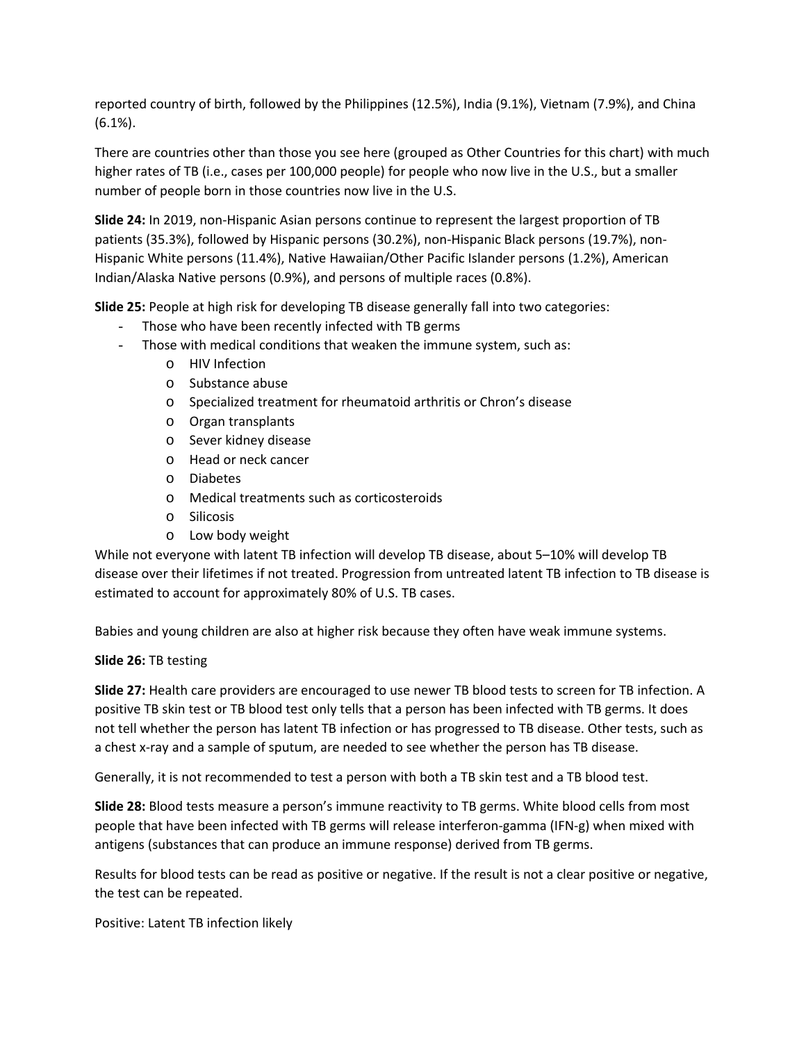reported country of birth, followed by the Philippines (12.5%), India (9.1%), Vietnam (7.9%), and China (6.1%).

There are countries other than those you see here (grouped as Other Countries for this chart) with much higher rates of TB (i.e., cases per 100,000 people) for people who now live in the U.S., but a smaller number of people born in those countries now live in the U.S.

**Slide 24:** In 2019, non-Hispanic Asian persons continue to represent the largest proportion of TB patients (35.3%), followed by Hispanic persons (30.2%), non-Hispanic Black persons (19.7%), non-Hispanic White persons (11.4%), Native Hawaiian/Other Pacific Islander persons (1.2%), American Indian/Alaska Native persons (0.9%), and persons of multiple races (0.8%).

**Slide 25:** People at high risk for developing TB disease generally fall into two categories:

- Those who have been recently infected with TB germs
- Those with medical conditions that weaken the immune system, such as:
	- o HIV Infection
	- o Substance abuse
	- o Specialized treatment for rheumatoid arthritis or Chron's disease
	- o Organ transplants
	- o Sever kidney disease
	- o Head or neck cancer
	- o Diabetes
	- o Medical treatments such as corticosteroids
	- o Silicosis
	- o Low body weight

While not everyone with latent TB infection will develop TB disease, about 5–10% will develop TB disease over their lifetimes if not treated. Progression from untreated latent TB infection to TB disease is estimated to account for approximately 80% of U.S. TB cases.

Babies and young children are also at higher risk because they often have weak immune systems.

### **Slide 26:** TB testing

**Slide 27:** Health care providers are encouraged to use newer TB blood tests to screen for TB infection. A positive TB skin test or TB blood test only tells that a person has been infected with TB germs. It does not tell whether the person has latent TB infection or has progressed to TB disease. Other tests, such as a chest x-ray and a sample of sputum, are needed to see whether the person has TB disease.

Generally, it is not recommended to test a person with both a TB skin test and a TB blood test.

**Slide 28:** Blood tests measure a person's immune reactivity to TB germs. White blood cells from most people that have been infected with TB germs will release interferon-gamma (IFN-g) when mixed with antigens (substances that can produce an immune response) derived from TB germs.

Results for blood tests can be read as positive or negative. If the result is not a clear positive or negative, the test can be repeated.

Positive: Latent TB infection likely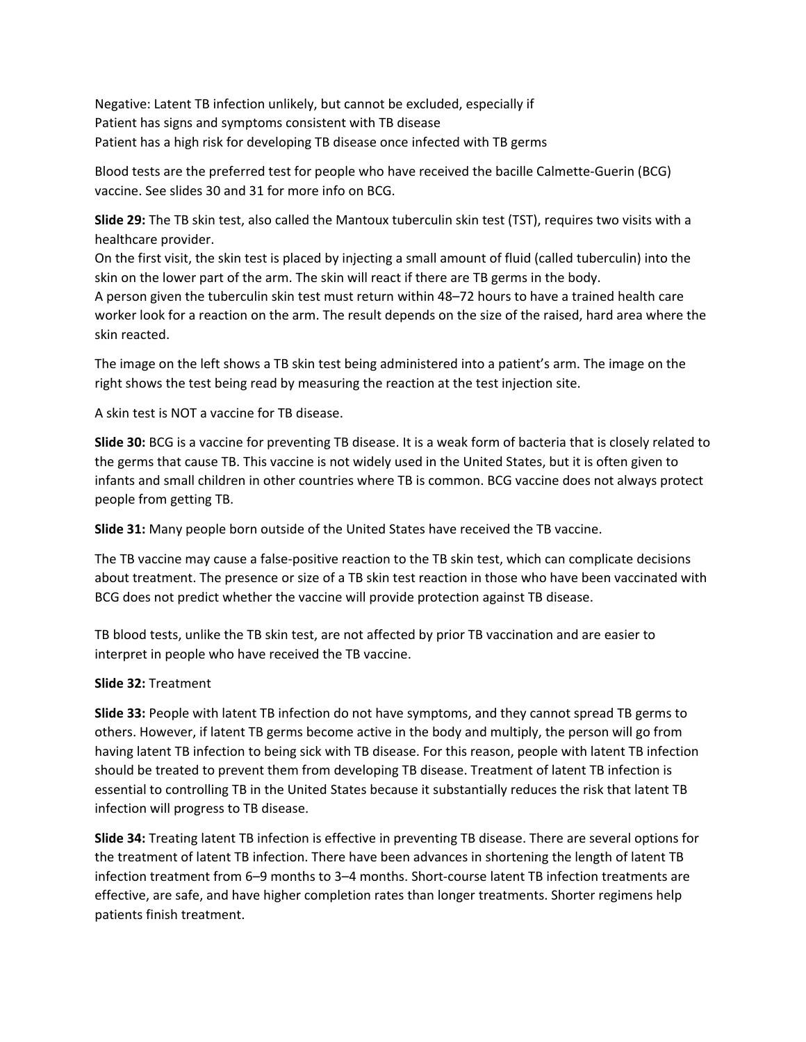Negative: Latent TB infection unlikely, but cannot be excluded, especially if Patient has signs and symptoms consistent with TB disease Patient has a high risk for developing TB disease once infected with TB germs

Blood tests are the preferred test for people who have received the bacille Calmette-Guerin (BCG) vaccine. See slides 30 and 31 for more info on BCG.

**Slide 29:** The TB skin test, also called the Mantoux tuberculin skin test (TST), requires two visits with a healthcare provider.

On the first visit, the skin test is placed by injecting a small amount of fluid (called tuberculin) into the skin on the lower part of the arm. The skin will react if there are TB germs in the body. A person given the tuberculin skin test must return within 48–72 hours to have a trained health care worker look for a reaction on the arm. The result depends on the size of the raised, hard area where the skin reacted.

The image on the left shows a TB skin test being administered into a patient's arm. The image on the right shows the test being read by measuring the reaction at the test injection site.

A skin test is NOT a vaccine for TB disease.

**Slide 30:** BCG is a vaccine for preventing TB disease. It is a weak form of bacteria that is closely related to the germs that cause TB. This vaccine is not widely used in the United States, but it is often given to infants and small children in other countries where TB is common. BCG vaccine does not always protect people from getting TB.

**Slide 31:** Many people born outside of the United States have received the TB vaccine.

The TB vaccine may cause a false-positive reaction to the TB skin test, which can complicate decisions about treatment. The presence or size of a TB skin test reaction in those who have been vaccinated with BCG does not predict whether the vaccine will provide protection against TB disease.

TB blood tests, unlike the TB skin test, are not affected by prior TB vaccination and are easier to interpret in people who have received the TB vaccine.

### **Slide 32:** Treatment

**Slide 33:** People with latent TB infection do not have symptoms, and they cannot spread TB germs to others. However, if latent TB germs become active in the body and multiply, the person will go from having latent TB infection to being sick with TB disease. For this reason, people with latent TB infection should be treated to prevent them from developing TB disease. Treatment of latent TB infection is essential to controlling TB in the United States because it substantially reduces the risk that latent TB infection will progress to TB disease.

**Slide 34:** Treating latent TB infection is effective in preventing TB disease. There are several options for the treatment of latent TB infection. There have been advances in shortening the length of latent TB infection treatment from 6–9 months to 3–4 months. Short-course latent TB infection treatments are effective, are safe, and have higher completion rates than longer treatments. Shorter regimens help patients finish treatment.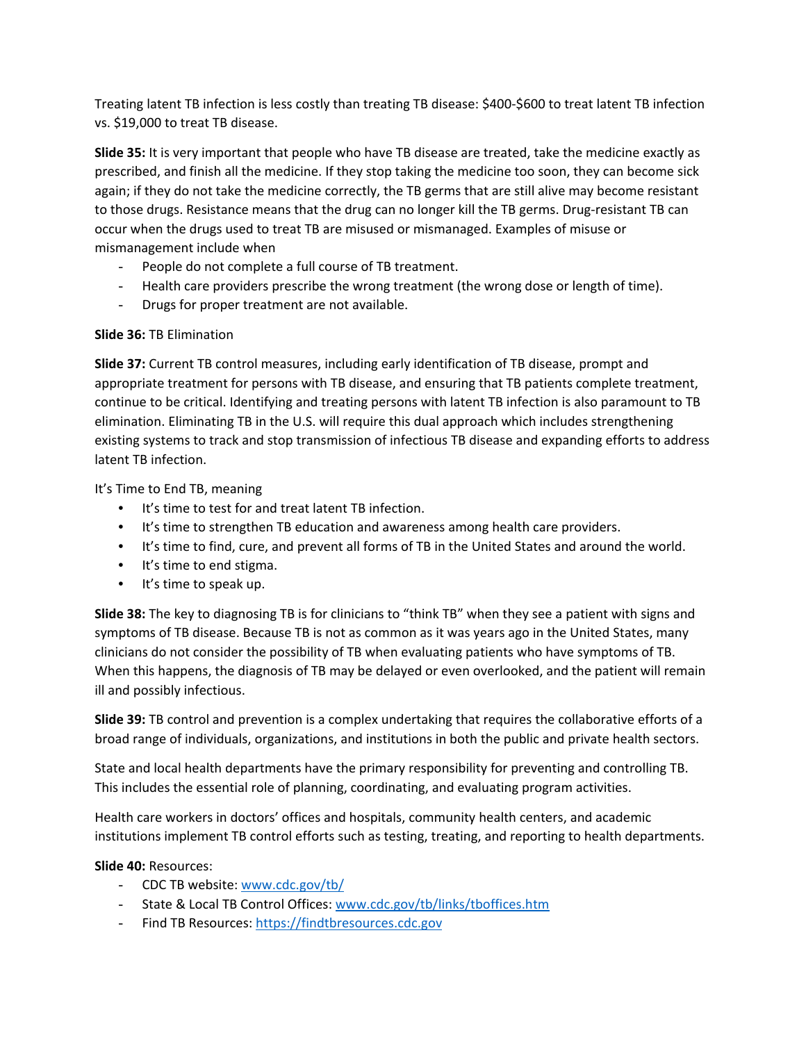Treating latent TB infection is less costly than treating TB disease: \$400-\$600 to treat latent TB infection vs. \$19,000 to treat TB disease.

**Slide 35:** It is very important that people who have TB disease are treated, take the medicine exactly as prescribed, and finish all the medicine. If they stop taking the medicine too soon, they can become sick again; if they do not take the medicine correctly, the TB germs that are still alive may become resistant to those drugs. Resistance means that the drug can no longer kill the TB germs. Drug-resistant TB can occur when the drugs used to treat TB are misused or mismanaged. Examples of misuse or mismanagement include when

- People do not complete a full course of TB treatment.
- Health care providers prescribe the wrong treatment (the wrong dose or length of time).
- Drugs for proper treatment are not available.

# **Slide 36:** TB Elimination

**Slide 37:** Current TB control measures, including early identification of TB disease, prompt and appropriate treatment for persons with TB disease, and ensuring that TB patients complete treatment, continue to be critical. Identifying and treating persons with latent TB infection is also paramount to TB elimination. Eliminating TB in the U.S. will require this dual approach which includes strengthening existing systems to track and stop transmission of infectious TB disease and expanding efforts to address latent TB infection.

It's Time to End TB, meaning

- It's time to test for and treat latent TB infection.
- It's time to strengthen TB education and awareness among health care providers.
- It's time to find, cure, and prevent all forms of TB in the United States and around the world.
- It's time to end stigma.
- It's time to speak up.

**Slide 38:** The key to diagnosing TB is for clinicians to "think TB" when they see a patient with signs and symptoms of TB disease. Because TB is not as common as it was years ago in the United States, many clinicians do not consider the possibility of TB when evaluating patients who have symptoms of TB. When this happens, the diagnosis of TB may be delayed or even overlooked, and the patient will remain ill and possibly infectious.

**Slide 39:** TB control and prevention is a complex undertaking that requires the collaborative efforts of a broad range of individuals, organizations, and institutions in both the public and private health sectors.

State and local health departments have the primary responsibility for preventing and controlling TB. This includes the essential role of planning, coordinating, and evaluating program activities.

Health care workers in doctors' offices and hospitals, community health centers, and academic institutions implement TB control efforts such as testing, treating, and reporting to health departments.

# **Slide 40:** Resources:

- CDC TB website: [www.cdc.gov/tb/](http://www.cdc.gov/tb/)
- State & Local TB Control Offices: [www.cdc.gov/tb/links/tboffices.htm](http://www.cdc.gov/tb/links/tboffices.htm)
- Find TB Resources: [https://findtbresources.cdc.gov](https://findtbresources.cdc.gov/)